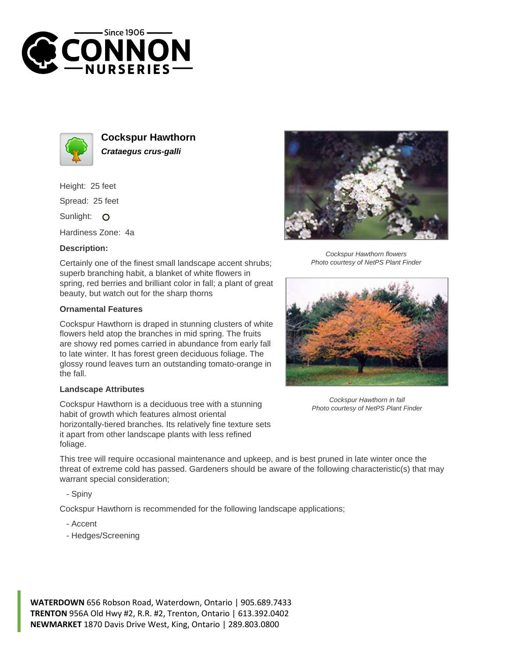



**Cockspur Hawthorn Crataegus crus-galli**

Height: 25 feet Spread: 25 feet

Sunlight: O

Hardiness Zone: 4a

## **Description:**

Certainly one of the finest small landscape accent shrubs; superb branching habit, a blanket of white flowers in spring, red berries and brilliant color in fall; a plant of great beauty, but watch out for the sharp thorns

## **Ornamental Features**

Cockspur Hawthorn is draped in stunning clusters of white flowers held atop the branches in mid spring. The fruits are showy red pomes carried in abundance from early fall to late winter. It has forest green deciduous foliage. The glossy round leaves turn an outstanding tomato-orange in the fall.

## **Landscape Attributes**

Cockspur Hawthorn is a deciduous tree with a stunning habit of growth which features almost oriental horizontally-tiered branches. Its relatively fine texture sets it apart from other landscape plants with less refined foliage.



Cockspur Hawthorn flowers Photo courtesy of NetPS Plant Finder



Cockspur Hawthorn in fall Photo courtesy of NetPS Plant Finder

This tree will require occasional maintenance and upkeep, and is best pruned in late winter once the threat of extreme cold has passed. Gardeners should be aware of the following characteristic(s) that may warrant special consideration;

- Spiny

Cockspur Hawthorn is recommended for the following landscape applications;

- Accent
- Hedges/Screening

**WATERDOWN** 656 Robson Road, Waterdown, Ontario | 905.689.7433 **TRENTON** 956A Old Hwy #2, R.R. #2, Trenton, Ontario | 613.392.0402 **NEWMARKET** 1870 Davis Drive West, King, Ontario | 289.803.0800